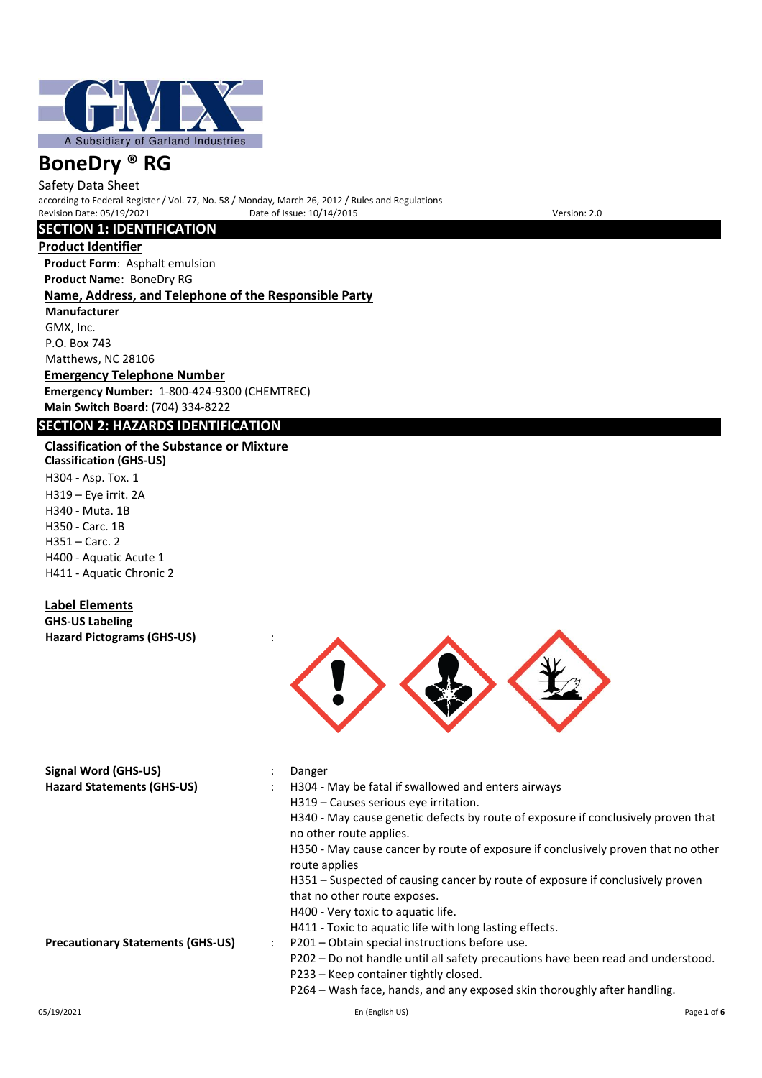

Safety Data Sheet according to Federal Register / Vol. 77, No. 58 / Monday, March 26, 2012 / Rules and Regulations Pate of Issue: 10/14/2015 Version: 2.0

## **SECTION 1: IDENTIFICATION**

**Product Identifier**

**Product Form**: Asphalt emulsion **Product Name**: BoneDry RG

## **Name, Address, and Telephone of the Responsible Party**

**Manufacturer** GMX, Inc. P.O. Box 743 Matthews, NC 28106

**Emergency Telephone Number Emergency Number:** 1-800-424-9300 (CHEMTREC) **Main Switch Board:** (704) 334-8222

## **SECTION 2: HAZARDS IDENTIFICATION**

## **Classification of the Substance or Mixture**

**Classification (GHS-US)** H304 - Asp. Tox. 1 H319 – Eye irrit. 2A H340 - Muta. 1B H350 - Carc. 1B H351 – Carc. 2 H400 - Aquatic Acute 1 H411 - Aquatic Chronic 2

## **Label Elements**

**GHS-US Labeling Hazard Pictograms (GHS-US)** :



| <b>Signal Word (GHS-US)</b>              | Danger                                                                                                         |
|------------------------------------------|----------------------------------------------------------------------------------------------------------------|
| <b>Hazard Statements (GHS-US)</b>        | H304 - May be fatal if swallowed and enters airways                                                            |
|                                          | H319 - Causes serious eve irritation.                                                                          |
|                                          | H340 - May cause genetic defects by route of exposure if conclusively proven that<br>no other route applies.   |
|                                          | H350 - May cause cancer by route of exposure if conclusively proven that no other<br>route applies             |
|                                          | H351 – Suspected of causing cancer by route of exposure if conclusively proven<br>that no other route exposes. |
|                                          | H400 - Very toxic to aquatic life.                                                                             |
|                                          | H411 - Toxic to aquatic life with long lasting effects.                                                        |
| <b>Precautionary Statements (GHS-US)</b> | P201 - Obtain special instructions before use.                                                                 |
|                                          | P202 – Do not handle until all safety precautions have been read and understood.                               |
|                                          | P233 – Keep container tightly closed.                                                                          |
|                                          | P264 – Wash face, hands, and any exposed skin thoroughly after handling.                                       |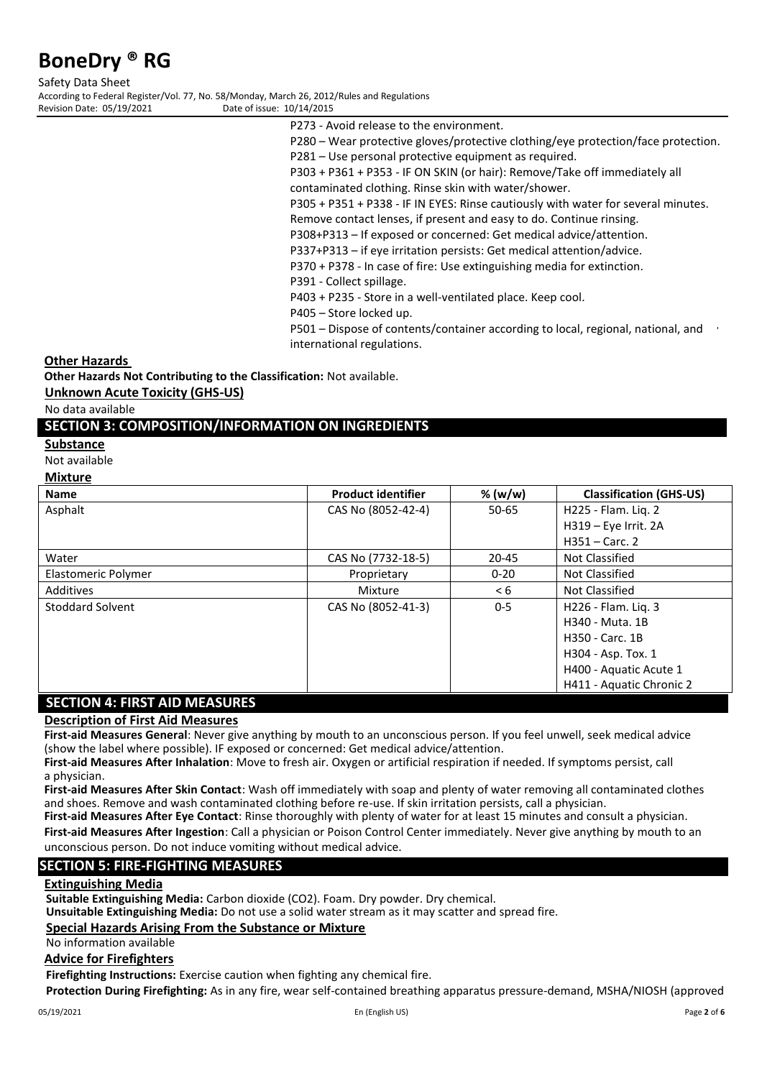Safety Data Sheet According to Federal Register/Vol. 77, No. 58/Monday, March 26, 2012/Rules and Regulations Date of issue: 10/14/2015

- P273 Avoid release to the environment.
- P280 Wear protective gloves/protective clothing/eye protection/face protection.
- P281 Use personal protective equipment as required.
- P303 + P361 + P353 IF ON SKIN (or hair): Remove/Take off immediately all

contaminated clothing. Rinse skin with water/shower.

P305 + P351 + P338 - IF IN EYES: Rinse cautiously with water for several minutes.

Remove contact lenses, if present and easy to do. Continue rinsing. P308+P313 – If exposed or concerned: Get medical advice/attention.

P337+P313 – if eye irritation persists: Get medical attention/advice.

P370 + P378 - In case of fire: Use extinguishing media for extinction.

P391 - Collect spillage.

P403 + P235 - Store in a well-ventilated place. Keep cool.

P405 – Store locked up.

P501 – Dispose of contents/container according to local, regional, national, and international regulations.

#### **Other Hazards**

**Other Hazards Not Contributing to the Classification:** Not available.

**Unknown Acute Toxicity (GHS-US)**

No data available

### **SECTION 3: COMPOSITION/INFORMATION ON INGREDIENTS**

**Substance**

Not available

#### **Mixture**

| <b>Name</b>         | <b>Product identifier</b> | % (w/w)   | <b>Classification (GHS-US)</b> |
|---------------------|---------------------------|-----------|--------------------------------|
| Asphalt             | CAS No (8052-42-4)        | $50 - 65$ | H225 - Flam. Lig. 2            |
|                     |                           |           | H319 - Eye Irrit. 2A           |
|                     |                           |           | $H351 - Carc.$ 2               |
| Water               | CAS No (7732-18-5)        | 20-45     | Not Classified                 |
| Elastomeric Polymer | Proprietary               | $0 - 20$  | Not Classified                 |
| Additives           | Mixture                   | < 6       | Not Classified                 |
| Stoddard Solvent    | CAS No (8052-41-3)        | $0 - 5$   | H226 - Flam. Lig. 3            |
|                     |                           |           | H340 - Muta, 1B                |
|                     |                           |           | H350 - Carc. 1B                |
|                     |                           |           | H304 - Asp. Tox. 1             |
|                     |                           |           | H400 - Aquatic Acute 1         |
|                     |                           |           | H411 - Aquatic Chronic 2       |

## **SECTION 4: FIRST AID MEASURES**

#### **Description of First Aid Measures**

**First-aid Measures General**: Never give anything by mouth to an unconscious person. If you feel unwell, seek medical advice (show the label where possible). IF exposed or concerned: Get medical advice/attention.

**First-aid Measures After Inhalation**: Move to fresh air. Oxygen or artificial respiration if needed. If symptoms persist, call a physician.

**First-aid Measures After Skin Contact**: Wash off immediately with soap and plenty of water removing all contaminated clothes and shoes. Remove and wash contaminated clothing before re-use. If skin irritation persists, call a physician.

**First-aid Measures After Eye Contact**: Rinse thoroughly with plenty of water for at least 15 minutes and consult a physician. **First-aid Measures After Ingestion**: Call a physician or Poison Control Center immediately. Never give anything by mouth to an unconscious person. Do not induce vomiting without medical advice.

## **SECTION 5: FIRE-FIGHTING MEASURES**

#### **Extinguishing Media**

**Suitable Extinguishing Media:** Carbon dioxide (CO2). Foam. Dry powder. Dry chemical.

**Unsuitable Extinguishing Media:** Do not use a solid water stream as it may scatter and spread fire.

## **Special Hazards Arising From the Substance or Mixture**

No information available

## **Advice for Firefighters**

**Firefighting Instructions:** Exercise caution when fighting any chemical fire.

**Protection During Firefighting:** As in any fire, wear self-contained breathing apparatus pressure-demand, MSHA/NIOSH (approved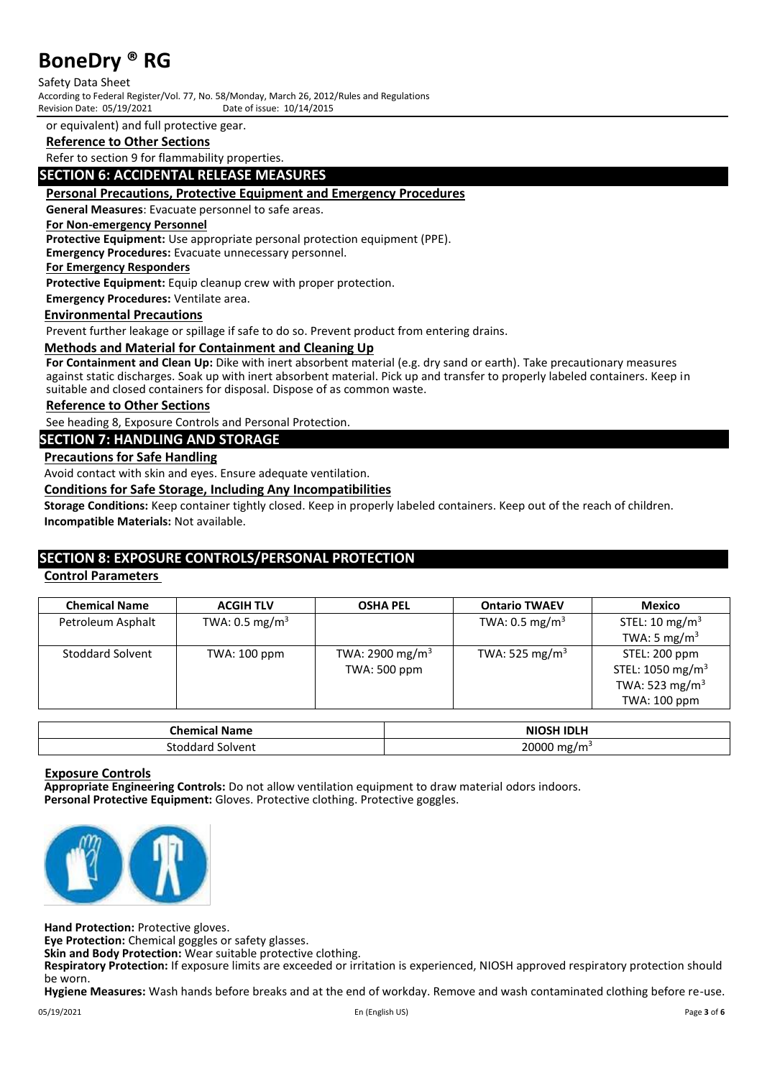Safety Data Sheet According to Federal Register/Vol. 77, No. 58/Monday, March 26, 2012/Rules and Regulations Revision Date: 05/19/2021

or equivalent) and full protective gear.

## **Reference to Other Sections**

Refer to section 9 for flammability properties.

### **SECTION 6: ACCIDENTAL RELEASE MEASURES**

#### **Personal Precautions, Protective Equipment and Emergency Procedures**

**General Measures**: Evacuate personnel to safe areas.

#### **For Non-emergency Personnel**

**Protective Equipment:** Use appropriate personal protection equipment (PPE).

**Emergency Procedures:** Evacuate unnecessary personnel.

**For Emergency Responders**

**Protective Equipment:** Equip cleanup crew with proper protection.

**Emergency Procedures:** Ventilate area.

#### **Environmental Precautions**

Prevent further leakage or spillage if safe to do so. Prevent product from entering drains.

#### **Methods and Material for Containment and Cleaning Up**

**For Containment and Clean Up:** Dike with inert absorbent material (e.g. dry sand or earth). Take precautionary measures against static discharges. Soak up with inert absorbent material. Pick up and transfer to properly labeled containers. Keep in suitable and closed containers for disposal. Dispose of as common waste.

#### **Reference to Other Sections**

See heading 8, Exposure Controls and Personal Protection.

## **SECTION 7: HANDLING AND STORAGE**

#### **Precautions for Safe Handling**

Avoid contact with skin and eyes. Ensure adequate ventilation.

### **Conditions for Safe Storage, Including Any Incompatibilities**

**Storage Conditions:** Keep container tightly closed. Keep in properly labeled containers. Keep out of the reach of children. **Incompatible Materials:** Not available.

## **SECTION 8: EXPOSURE CONTROLS/PERSONAL PROTECTION**

### **Control Parameters**

| <b>Chemical Name</b> | <b>ACGIH TLV</b>          | <b>OSHA PEL</b>             | <b>Ontario TWAEV</b>       | Mexico                       |
|----------------------|---------------------------|-----------------------------|----------------------------|------------------------------|
| Petroleum Asphalt    | TWA: $0.5 \text{ mg/m}^3$ |                             | TWA: $0.5 \text{ mg/m}^3$  | STEL: 10 mg/m <sup>3</sup>   |
|                      |                           |                             |                            | TWA: 5 mg/ $m3$              |
| Stoddard Solvent     | TWA: 100 ppm              | TWA: 2900 mg/m <sup>3</sup> | TWA: 525 mg/m <sup>3</sup> | STEL: 200 ppm                |
|                      |                           | TWA: 500 ppm                |                            | STEL: 1050 mg/m <sup>3</sup> |
|                      |                           |                             |                            | TWA: 523 mg/m <sup>3</sup>   |
|                      |                           |                             |                            | TWA: 100 ppm                 |

| <b>Themical</b><br>Name | ISH IDI H<br><b>ALL</b><br>NI |
|-------------------------|-------------------------------|
| Solvent<br>touua<br>.   | 20000<br>mg/m² ں۔             |

#### **Exposure Controls**

**Appropriate Engineering Controls:** Do not allow ventilation equipment to draw material odors indoors. **Personal Protective Equipment:** Gloves. Protective clothing. Protective goggles.



**Hand Protection:** Protective gloves.

**Eye Protection:** Chemical goggles or safety glasses.

**Skin and Body Protection:** Wear suitable protective clothing.

**Respiratory Protection:** If exposure limits are exceeded or irritation is experienced, NIOSH approved respiratory protection should be worn.

**Hygiene Measures:** Wash hands before breaks and at the end of workday. Remove and wash contaminated clothing before re-use.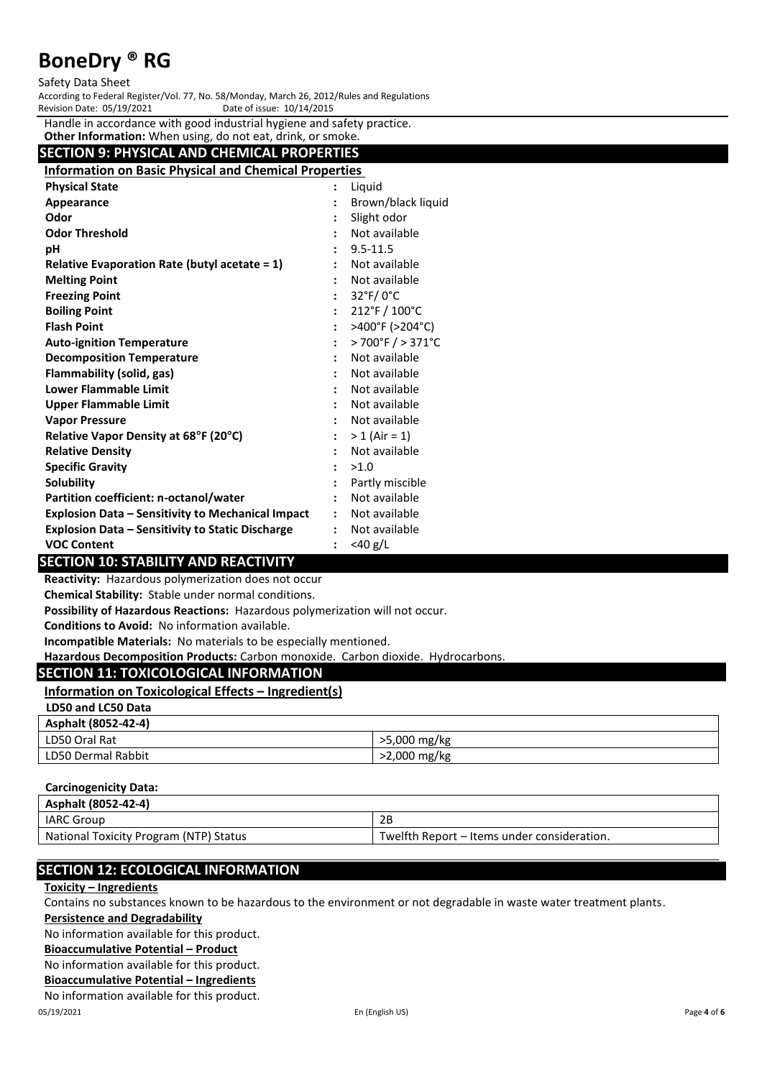#### Safety Data Sheet

According to Federal Register/Vol. 77, No. 58/Monday, March 26, 2012/Rules and Regulations Revision Date: 05/19/2021

Handle in accordance with good industrial hygiene and safety practice.

| Other Information: When using, do not eat, drink, or smoke.  |  |                                         |  |  |  |  |
|--------------------------------------------------------------|--|-----------------------------------------|--|--|--|--|
| <b>SECTION 9: PHYSICAL AND CHEMICAL PROPERTIES</b>           |  |                                         |  |  |  |  |
| <b>Information on Basic Physical and Chemical Properties</b> |  |                                         |  |  |  |  |
| <b>Physical State</b>                                        |  | Liguid                                  |  |  |  |  |
| Appearance                                                   |  | Brown/black liquid                      |  |  |  |  |
| Odor                                                         |  | Slight odor                             |  |  |  |  |
| <b>Odor Threshold</b>                                        |  | Not available                           |  |  |  |  |
| рH                                                           |  | $9.5 - 11.5$                            |  |  |  |  |
| Relative Evaporation Rate (butyl acetate $= 1$ )             |  | Not available                           |  |  |  |  |
| <b>Melting Point</b>                                         |  | Not available                           |  |  |  |  |
| <b>Freezing Point</b>                                        |  | $32^\circ F/0^\circ C$                  |  |  |  |  |
| <b>Boiling Point</b>                                         |  | 212°F / 100°C                           |  |  |  |  |
| <b>Flash Point</b>                                           |  | >400°F (>204°C)                         |  |  |  |  |
| <b>Auto-ignition Temperature</b>                             |  | $>700^{\circ}$ F $/$ > 371 $^{\circ}$ C |  |  |  |  |
| <b>Decomposition Temperature</b>                             |  | Not available                           |  |  |  |  |
| Flammability (solid, gas)                                    |  | Not available                           |  |  |  |  |
| <b>Lower Flammable Limit</b>                                 |  | Not available                           |  |  |  |  |
| <b>Upper Flammable Limit</b>                                 |  | Not available                           |  |  |  |  |
| <b>Vapor Pressure</b>                                        |  | Not available                           |  |  |  |  |
| Relative Vapor Density at 68°F (20°C)                        |  | $> 1$ (Air = 1)                         |  |  |  |  |
| <b>Relative Density</b>                                      |  | Not available                           |  |  |  |  |
| <b>Specific Gravity</b>                                      |  | >1.0                                    |  |  |  |  |
| Solubility                                                   |  | Partly miscible                         |  |  |  |  |
| Partition coefficient: n-octanol/water                       |  | Not available                           |  |  |  |  |
| <b>Explosion Data - Sensitivity to Mechanical Impact</b>     |  | Not available                           |  |  |  |  |
| <b>Explosion Data - Sensitivity to Static Discharge</b>      |  | Not available                           |  |  |  |  |
| <b>VOC Content</b>                                           |  | $<$ 40 g/L                              |  |  |  |  |

## **SECTION 10: STABILITY AND REACTIVITY**

**Reactivity:** Hazardous polymerization does not occur

**Chemical Stability:** Stable under normal conditions.

**Possibility of Hazardous Reactions:** Hazardous polymerization will not occur.

**Conditions to Avoid:** No information available.

**Incompatible Materials:** No materials to be especially mentioned.

**Hazardous Decomposition Products:** Carbon monoxide. Carbon dioxide. Hydrocarbons.

## **SECTION 11: TOXICOLOGICAL INFORMATION**

## **Information on Toxicological Effects – Ingredient(s)**

| LD50 and LC50 Data |  |  |
|--------------------|--|--|
|                    |  |  |

| Asphalt (8052-42-4) |              |
|---------------------|--------------|
| LD50 Oral Rat       | >5,000 mg/kg |
| LD50 Dermal Rabbit  | >2,000 mg/kg |

#### **Carcinogenicity Data:**

| Asphalt (8052-42-4)                    |                                             |
|----------------------------------------|---------------------------------------------|
| <b>IARC Group</b>                      | 2Β                                          |
| National Toxicity Program (NTP) Status | Twelfth Report – Items under consideration. |

## **SECTION 12: ECOLOGICAL INFORMATION**

#### **Toxicity – Ingredients**

Contains no substances known to be hazardous to the environment or not degradable in waste water treatment plants.

#### **Persistence and Degradability**

No information available for this product.

### **Bioaccumulative Potential – Product**

No information available for this product.

#### **Bioaccumulative Potential – Ingredients**

No information available for this product.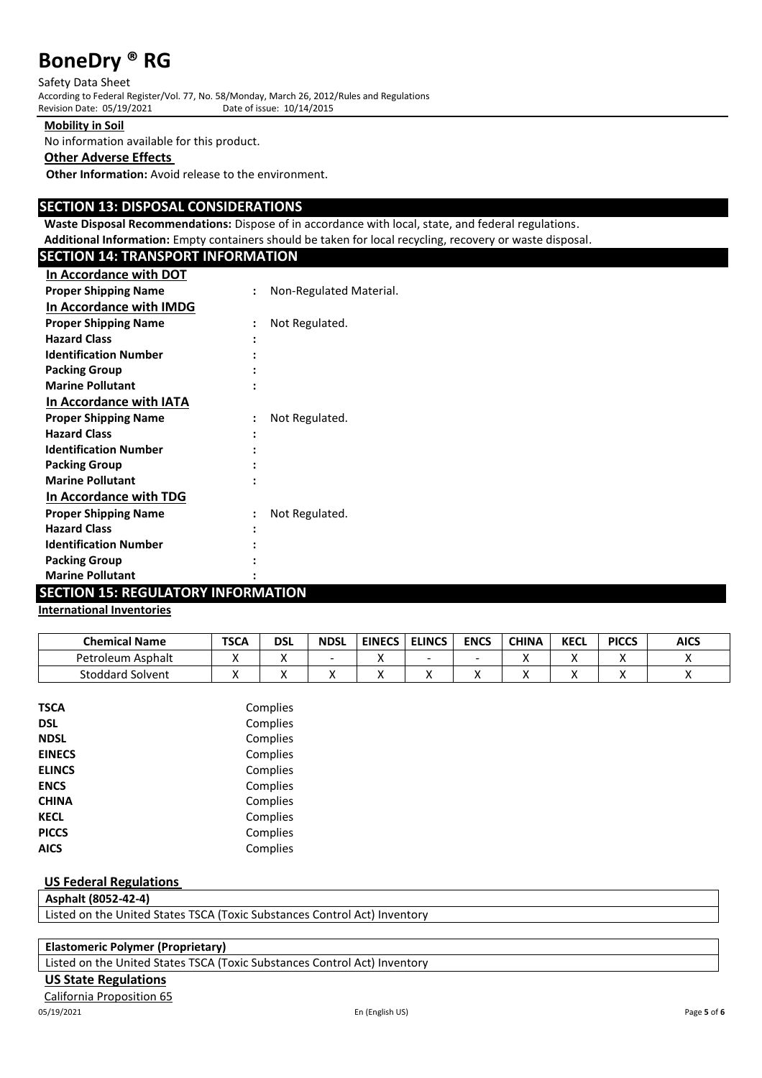Safety Data Sheet According to Federal Register/Vol. 77, No. 58/Monday, March 26, 2012/Rules and Regulations Revision Date: 05/19/2021

**Mobility in Soil**

No information available for this product.

#### **Other Adverse Effects**

**Other Information:** Avoid release to the environment.

## **SECTION 13: DISPOSAL CONSIDERATIONS**

**Waste Disposal Recommendations:** Dispose of in accordance with local, state, and federal regulations.

| Additional Information: Empty containers should be taken for local recycling, recovery or waste disposal. |  |
|-----------------------------------------------------------------------------------------------------------|--|
|-----------------------------------------------------------------------------------------------------------|--|

| <b>SECTION 14: TRANSPORT INFORMATION</b> |                |                         |
|------------------------------------------|----------------|-------------------------|
| In Accordance with DOT                   |                |                         |
| <b>Proper Shipping Name</b>              | $\ddot{\cdot}$ | Non-Regulated Material. |
| In Accordance with IMDG                  |                |                         |
| <b>Proper Shipping Name</b>              |                | Not Regulated.          |
| <b>Hazard Class</b>                      |                |                         |
| <b>Identification Number</b>             |                |                         |
| <b>Packing Group</b>                     |                |                         |
| <b>Marine Pollutant</b>                  |                |                         |
| In Accordance with IATA                  |                |                         |
| <b>Proper Shipping Name</b>              |                | Not Regulated.          |
| <b>Hazard Class</b>                      |                |                         |
| <b>Identification Number</b>             |                |                         |
| <b>Packing Group</b>                     |                |                         |
| <b>Marine Pollutant</b>                  |                |                         |
| In Accordance with TDG                   |                |                         |
| <b>Proper Shipping Name</b>              |                | Not Regulated.          |
| <b>Hazard Class</b>                      |                |                         |
| <b>Identification Number</b>             |                |                         |
| <b>Packing Group</b>                     |                |                         |
| <b>Marine Pollutant</b>                  |                |                         |

## **SECTION 15: REGULATORY INFORMATION**

## **International Inventories**

| <b>Chemical Name</b>    | <b>TSCA</b> | dsl | <b>NDSL</b> | <b>EINECS</b> | <b>ELINCS</b> | <b>ENCS</b> | <b>CHINA</b> | <b>KECL</b> | <b>PICCS</b> | <b>AICS</b> |
|-------------------------|-------------|-----|-------------|---------------|---------------|-------------|--------------|-------------|--------------|-------------|
| Petroleum Asphalt       |             | ,,  |             |               | -             |             | . .          |             | ,,           |             |
| <b>Stoddard Solvent</b> |             | ,,  |             |               | ,,            |             |              |             |              |             |

| <b>TSCA</b>   | Complies |
|---------------|----------|
| <b>DSL</b>    | Complies |
| <b>NDSL</b>   | Complies |
| <b>EINECS</b> | Complies |
| <b>ELINCS</b> | Complies |
| <b>ENCS</b>   | Complies |
| <b>CHINA</b>  | Complies |
| <b>KECL</b>   | Complies |
| <b>PICCS</b>  | Complies |
| <b>AICS</b>   | Complies |
|               |          |

#### **US Federal Regulations**

**Asphalt (8052-42-4)**

Listed on the United States TSCA (Toxic Substances Control Act) Inventory

## **Elastomeric Polymer (Proprietary)**

Listed on the United States TSCA (Toxic Substances Control Act) Inventory

## **US State Regulations**